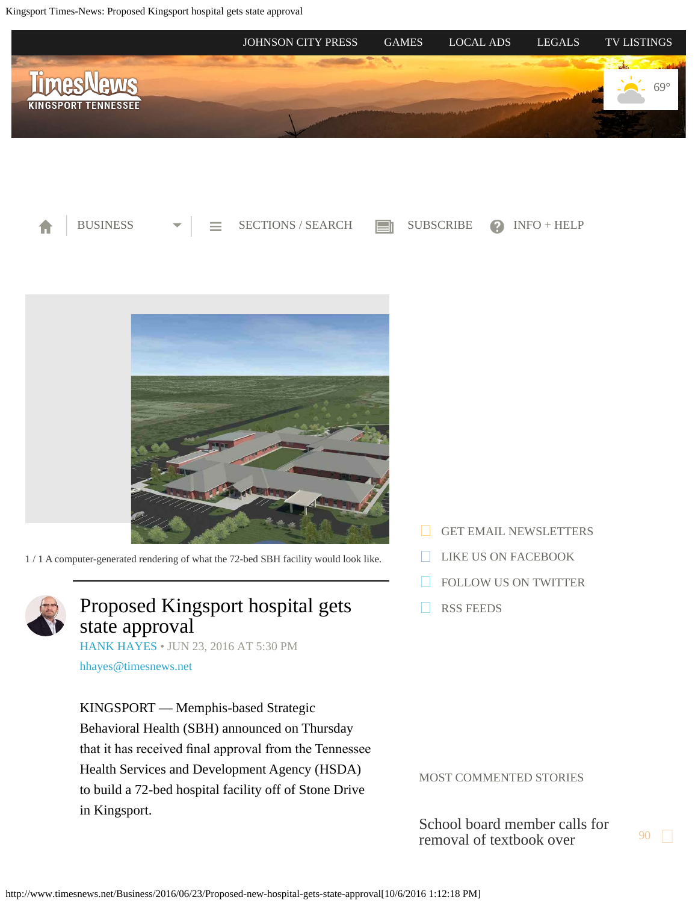<span id="page-0-0"></span>Kingsport Times-News: Proposed Kingsport hospital gets state approval







1 / 1 A computer-generated rendering of what the 72-bed SBH facility would look like.



## Proposed Kingsport hospital gets state approval

[HANK HAYES](http://www.timesnews.net/authors?user=hank%20hayes) • JUN 23, 2016 AT 5:30 PM

[hhayes@timesnews.net](mailto:hhayes@timesnews.net)

KINGSPORT — Memphis-based Strategic Behavioral Health (SBH) announced on Thursday that it has received fnal approval from the Tennessee Health Services and Development Agency (HSDA) to build a 72-bed hospital facility off of Stone Drive in Kingsport.

- [GET EMAIL NEWSLETTERS](https://2.dat-e-baseonline.com/front/deb.asp?Action=Reg&zx=357)
- [LIKE US ON FACEBOOK](https://www.facebook.com/timesnews)
- [FOLLOW US ON TWITTER](https://twitter.com/TimesNewsOnline)
- [RSS FEEDS](http://www.timesnews.net/feed)

MOST COMMENTED STORIES

[School board member calls for](http://www.timesnews.net/Education/2016/10/04/Ireson-calls-for-removal-of-Pearson-seventh-grade-history-text-from-Sullivan-schools?ci=mostcommented&lp=1) [removal of textbook over](http://www.timesnews.net/Education/2016/10/04/Ireson-calls-for-removal-of-Pearson-seventh-grade-history-text-from-Sullivan-schools?ci=mostcommented&lp=1)  $\frac{90}{5}$  $\frac{90}{5}$  $\frac{90}{5}$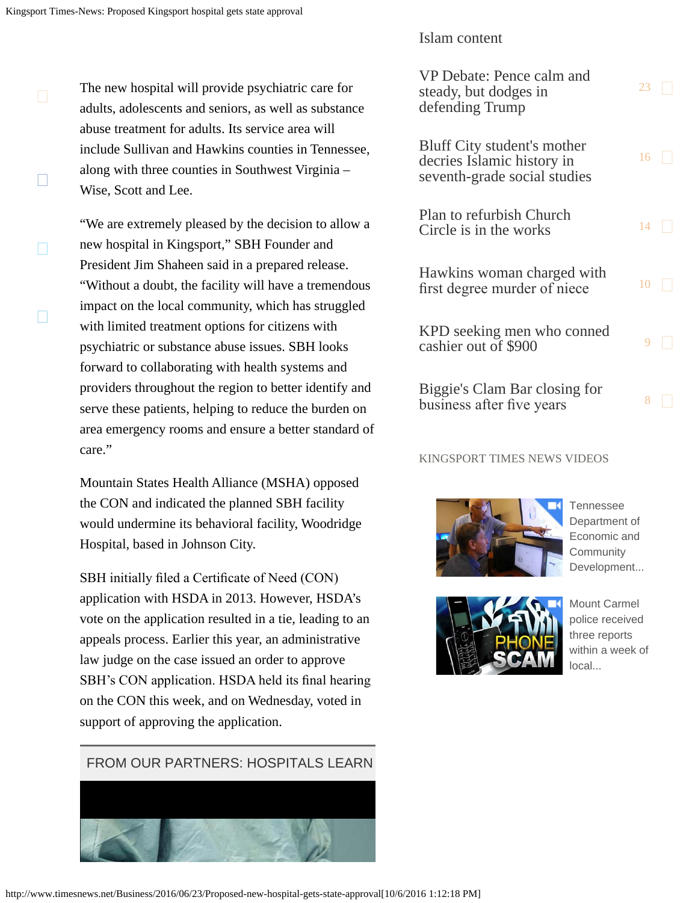$\Box$ 

П

П

The new hospital will provide psychiatric care for adults, adolescents and seniors, as well as substance abuse treatment for adults. Its service area will include Sullivan and Hawkins counties in Tennessee, along with three counties in Southwest Virginia – Wise, Scott and Lee.

"We are extremely pleased by the decision to allow a new hospital in Kingsport," SBH Founder and President Jim Shaheen said in a prepared release. "Without a doubt, the facility will have a tremendous impact on the local community, which has struggled with limited treatment options for citizens with psychiatric or substance abuse issues. SBH looks forward to collaborating with health systems and providers throughout the region to better identify and serve these patients, helping to reduce the burden on area emergency rooms and ensure a better standard of care."

Mountain States Health Alliance (MSHA) opposed the CON and indicated the planned SBH facility would undermine its behavioral facility, Woodridge Hospital, based in Johnson City.

SBH initially fled a Certifcate of Need (CON) application with HSDA in 2013. However, HSDA's vote on the application resulted in a tie, leading to an appeals process. Earlier this year, an administrative law judge on the case issued an order to approve SBH's CON application. HSDA held its fnal hearing on the CON this week, and on Wednesday, voted in support of approving the application.

### FROM OUR PARTNERS: HOSPITALS LEARN



http://www.timesnews.net/Business/2016/06/23/Proposed-new-hospital-gets-state-approval[10/6/2016 1:12:18 PM]

### [Islam content](http://www.timesnews.net/Education/2016/10/04/Ireson-calls-for-removal-of-Pearson-seventh-grade-history-text-from-Sullivan-schools?ci=mostcommented&lp=1)

| VP Debate: Pence calm and<br>steady, but dodges in<br>defending Trump                            | 23 |  |
|--------------------------------------------------------------------------------------------------|----|--|
| <b>Bluff City student's mother</b><br>decries Islamic history in<br>seventh-grade social studies | 16 |  |
| Plan to refurbish Church<br>Circle is in the works                                               | 14 |  |
| Hawkins woman charged with<br>first degree murder of niece                                       | 10 |  |
| KPD seeking men who conned<br>cashier out of \$900                                               | Q. |  |
| Biggie's Clam Bar closing for<br>business after five years                                       | 8  |  |

#### KINGSPORT TIMES NEWS VIDEOS



[Tennessee](http://videos.timesnews.net/timesnews/6vwz3g?v=autoplay_postroll&e=e0018&opn=right_rail_embed) [Department of](http://videos.timesnews.net/timesnews/6vwz3g?v=autoplay_postroll&e=e0018&opn=right_rail_embed) [Economic and](http://videos.timesnews.net/timesnews/6vwz3g?v=autoplay_postroll&e=e0018&opn=right_rail_embed) **[Community](http://videos.timesnews.net/timesnews/6vwz3g?v=autoplay_postroll&e=e0018&opn=right_rail_embed)** [Development...](http://videos.timesnews.net/timesnews/6vwz3g?v=autoplay_postroll&e=e0018&opn=right_rail_embed)



[Mount Carmel](http://videos.timesnews.net/timesnews/xma4wa?v=autoplay_postroll&e=e0018&opn=right_rail_embed) [police received](http://videos.timesnews.net/timesnews/xma4wa?v=autoplay_postroll&e=e0018&opn=right_rail_embed) [three reports](http://videos.timesnews.net/timesnews/xma4wa?v=autoplay_postroll&e=e0018&opn=right_rail_embed) [within a week of](http://videos.timesnews.net/timesnews/xma4wa?v=autoplay_postroll&e=e0018&opn=right_rail_embed) [local...](http://videos.timesnews.net/timesnews/xma4wa?v=autoplay_postroll&e=e0018&opn=right_rail_embed)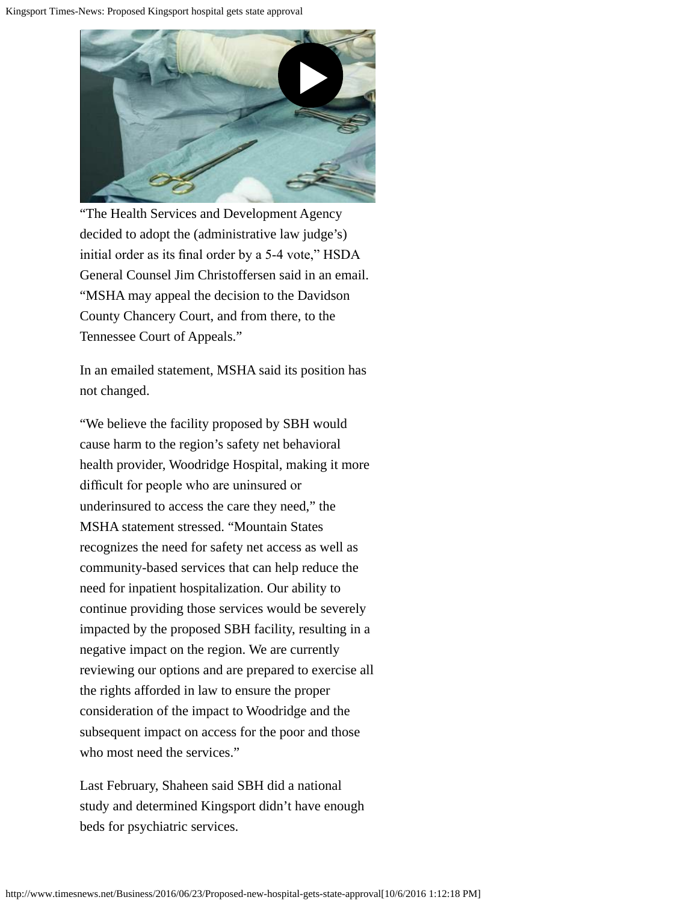

"The Health Services and Development Agency decided to adopt the (administrative law judge's) initial order as its fnal order by a 5-4 vote," HSDA General Counsel Jim Christoffersen said in an email. "MSHA may appeal the decision to the Davidson County Chancery Court, and from there, to the Tennessee Court of Appeals."

In an emailed statement, MSHA said its position has not changed.

"We believe the facility proposed by SBH would cause harm to the region's safety net behavioral health provider, Woodridge Hospital, making it more diffcult for people who are uninsured or underinsured to access the care they need," the MSHA statement stressed. "Mountain States recognizes the need for safety net access as well as community-based services that can help reduce the need for inpatient hospitalization. Our ability to continue providing those services would be severely impacted by the proposed SBH facility, resulting in a negative impact on the region. We are currently reviewing our options and are prepared to exercise all the rights afforded in law to ensure the proper consideration of the impact to Woodridge and the subsequent impact on access for the poor and those who most need the services."

Last February, Shaheen said SBH did a national study and determined Kingsport didn't have enough beds for psychiatric services.